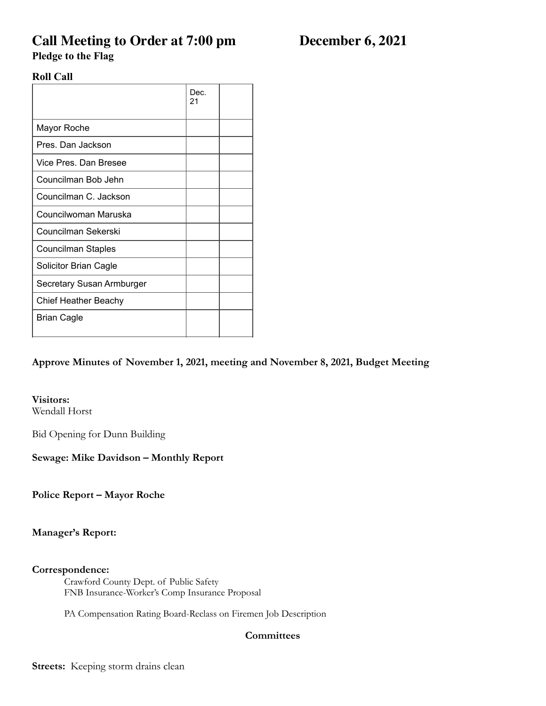# **Call Meeting to Order at 7:00 pm December 6, 2021**

**Pledge to the Flag** 

# **Roll Call**

|                             | Dec.<br>21 |  |
|-----------------------------|------------|--|
| Mayor Roche                 |            |  |
| Pres. Dan Jackson           |            |  |
| Vice Pres. Dan Bresee       |            |  |
| Councilman Bob Jehn         |            |  |
| Councilman C. Jackson       |            |  |
| Councilwoman Maruska        |            |  |
| Councilman Sekerski         |            |  |
| <b>Councilman Staples</b>   |            |  |
| Solicitor Brian Cagle       |            |  |
| Secretary Susan Armburger   |            |  |
| <b>Chief Heather Beachy</b> |            |  |
| <b>Brian Cagle</b>          |            |  |

# **Approve Minutes of November 1, 2021, meeting and November 8, 2021, Budget Meeting**

# **Visitors:**

Wendall Horst

Bid Opening for Dunn Building

# **Sewage: Mike Davidson – Monthly Report**

**Police Report – Mayor Roche** 

#### **Manager's Report:**

#### **Correspondence:**

Crawford County Dept. of Public Safety FNB Insurance-Worker's Comp Insurance Proposal

PA Compensation Rating Board-Reclass on Firemen Job Description

# **Committees**

**Streets:** Keeping storm drains clean